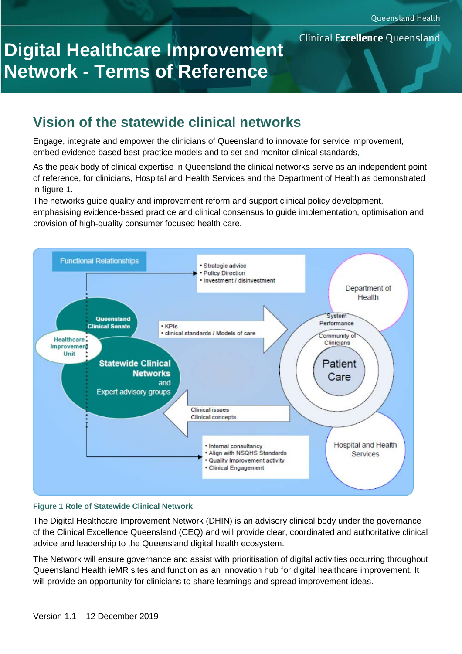**Clinical Excellence Queensland** 

# **Digital Healthcare Improvement Network - Terms of Reference**

# **Vision of the statewide clinical networks**

Engage, integrate and empower the clinicians of Queensland to innovate for service improvement, embed evidence based best practice models and to set and monitor clinical standards**.**

As the peak body of clinical expertise in Queensland the clinical networks serve as an independent point of reference, for clinicians, Hospital and Health Services and the Department of Health as demonstrated in figure 1.

The networks guide quality and improvement reform and support clinical policy development, emphasising evidence-based practice and clinical consensus to guide implementation, optimisation and provision of high-quality consumer focused health care.



#### **Figure 1 Role of Statewide Clinical Network**

The Digital Healthcare Improvement Network (DHIN) is an advisory clinical body under the governance of the Clinical Excellence Queensland (CEQ) and will provide clear, coordinated and authoritative clinical advice and leadership to the Queensland digital health ecosystem.

The Network will ensure governance and assist with prioritisation of digital activities occurring throughout Queensland Health ieMR sites and function as an innovation hub for digital healthcare improvement. It will provide an opportunity for clinicians to share learnings and spread improvement ideas.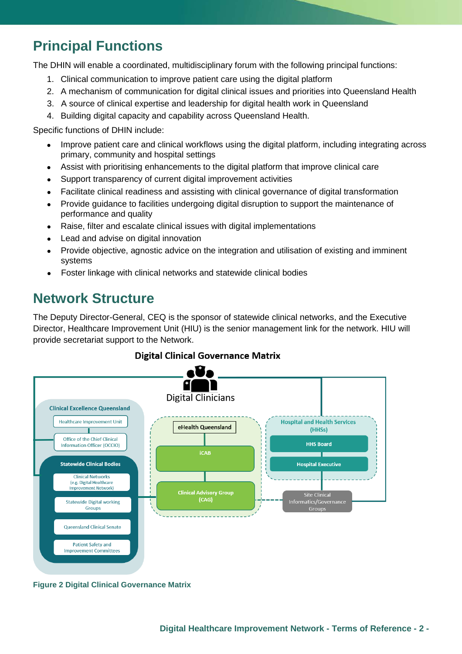# **Principal Functions**

The DHIN will enable a coordinated, multidisciplinary forum with the following principal functions:

- 1. Clinical communication to improve patient care using the digital platform
- 2. A mechanism of communication for digital clinical issues and priorities into Queensland Health
- 3. A source of clinical expertise and leadership for digital health work in Queensland
- 4. Building digital capacity and capability across Queensland Health.

Specific functions of DHIN include:

- Improve patient care and clinical workflows using the digital platform, including integrating across primary, community and hospital settings
- Assist with prioritising enhancements to the digital platform that improve clinical care
- Support transparency of current digital improvement activities
- Facilitate clinical readiness and assisting with clinical governance of digital transformation
- Provide guidance to facilities undergoing digital disruption to support the maintenance of performance and quality
- Raise, filter and escalate clinical issues with digital implementations
- Lead and advise on digital innovation
- Provide objective, agnostic advice on the integration and utilisation of existing and imminent systems
- Foster linkage with clinical networks and statewide clinical bodies

# **Network Structure**

The Deputy Director-General, CEQ is the sponsor of statewide clinical networks, and the Executive Director, Healthcare Improvement Unit (HIU) is the senior management link for the network. HIU will provide secretariat support to the Network.



#### **Digital Clinical Governance Matrix**

**Figure 2 Digital Clinical Governance Matrix**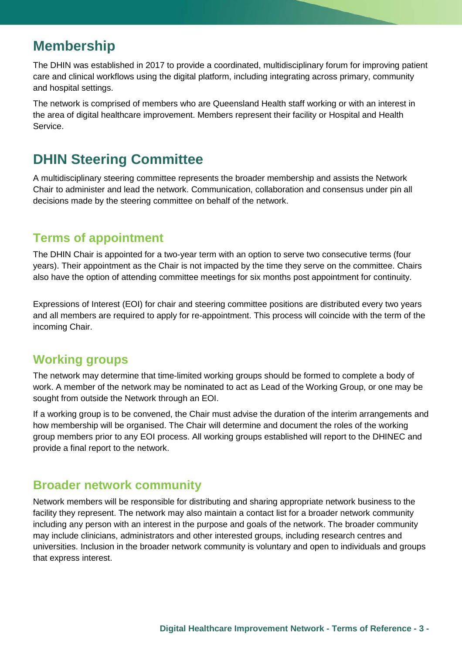# **Membership**

The DHIN was established in 2017 to provide a coordinated, multidisciplinary forum for improving patient care and clinical workflows using the digital platform, including integrating across primary, community and hospital settings.

The network is comprised of members who are Queensland Health staff working or with an interest in the area of digital healthcare improvement. Members represent their facility or Hospital and Health Service.

# **DHIN Steering Committee**

A multidisciplinary steering committee represents the broader membership and assists the Network Chair to administer and lead the network. Communication, collaboration and consensus under pin all decisions made by the steering committee on behalf of the network.

### **Terms of appointment**

The DHIN Chair is appointed for a two-year term with an option to serve two consecutive terms (four years). Their appointment as the Chair is not impacted by the time they serve on the committee. Chairs also have the option of attending committee meetings for six months post appointment for continuity.

Expressions of Interest (EOI) for chair and steering committee positions are distributed every two years and all members are required to apply for re-appointment. This process will coincide with the term of the incoming Chair.

### **Working groups**

The network may determine that time-limited working groups should be formed to complete a body of work. A member of the network may be nominated to act as Lead of the Working Group, or one may be sought from outside the Network through an EOI.

If a working group is to be convened, the Chair must advise the duration of the interim arrangements and how membership will be organised. The Chair will determine and document the roles of the working group members prior to any EOI process. All working groups established will report to the DHINEC and provide a final report to the network.

#### **Broader network community**

Network members will be responsible for distributing and sharing appropriate network business to the facility they represent. The network may also maintain a contact list for a broader network community including any person with an interest in the purpose and goals of the network. The broader community may include clinicians, administrators and other interested groups, including research centres and universities. Inclusion in the broader network community is voluntary and open to individuals and groups that express interest.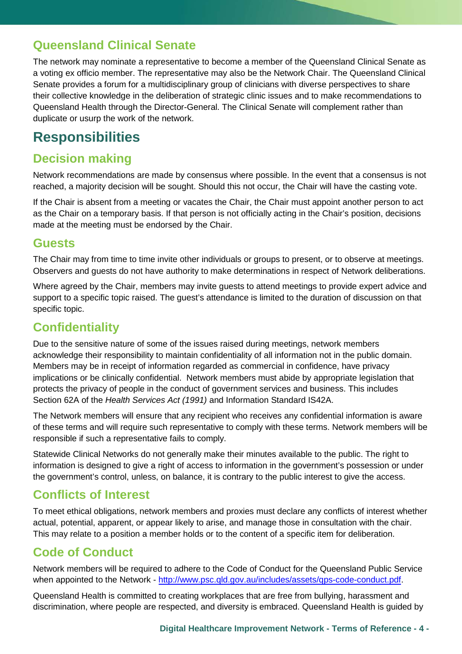# **Queensland Clinical Senate**

The network may nominate a representative to become a member of the Queensland Clinical Senate as a voting ex officio member. The representative may also be the Network Chair. The Queensland Clinical Senate provides a forum for a multidisciplinary group of clinicians with diverse perspectives to share their collective knowledge in the deliberation of strategic clinic issues and to make recommendations to Queensland Health through the Director-General. The Clinical Senate will complement rather than duplicate or usurp the work of the network.

# **Responsibilities**

### **Decision making**

Network recommendations are made by consensus where possible. In the event that a consensus is not reached, a majority decision will be sought. Should this not occur, the Chair will have the casting vote.

If the Chair is absent from a meeting or vacates the Chair, the Chair must appoint another person to act as the Chair on a temporary basis. If that person is not officially acting in the Chair's position, decisions made at the meeting must be endorsed by the Chair.

#### **Guests**

The Chair may from time to time invite other individuals or groups to present, or to observe at meetings. Observers and guests do not have authority to make determinations in respect of Network deliberations.

Where agreed by the Chair, members may invite guests to attend meetings to provide expert advice and support to a specific topic raised. The guest's attendance is limited to the duration of discussion on that specific topic.

### **Confidentiality**

Due to the sensitive nature of some of the issues raised during meetings, network members acknowledge their responsibility to maintain confidentiality of all information not in the public domain. Members may be in receipt of information regarded as commercial in confidence, have privacy implications or be clinically confidential. Network members must abide by appropriate legislation that protects the privacy of people in the conduct of government services and business. This includes Section 62A of the *Health Services Act (1991)* and Information Standard IS42A.

The Network members will ensure that any recipient who receives any confidential information is aware of these terms and will require such representative to comply with these terms. Network members will be responsible if such a representative fails to comply.

Statewide Clinical Networks do not generally make their minutes available to the public. The right to information is designed to give a right of access to information in the government's possession or under the government's control, unless, on balance, it is contrary to the public interest to give the access.

### **Conflicts of Interest**

To meet ethical obligations, network members and proxies must declare any conflicts of interest whether actual, potential, apparent, or appear likely to arise, and manage those in consultation with the chair. This may relate to a position a member holds or to the content of a specific item for deliberation.

### **Code of Conduct**

Network members will be required to adhere to the Code of Conduct for the Queensland Public Service when appointed to the Network - [http://www.psc.qld.gov.au/includes/assets/qps-code-conduct.pdf.](http://www.psc.qld.gov.au/includes/assets/qps-code-conduct.pdf)

Queensland Health is committed to creating workplaces that are free from bullying, harassment and discrimination, where people are respected, and diversity is embraced. Queensland Health is guided by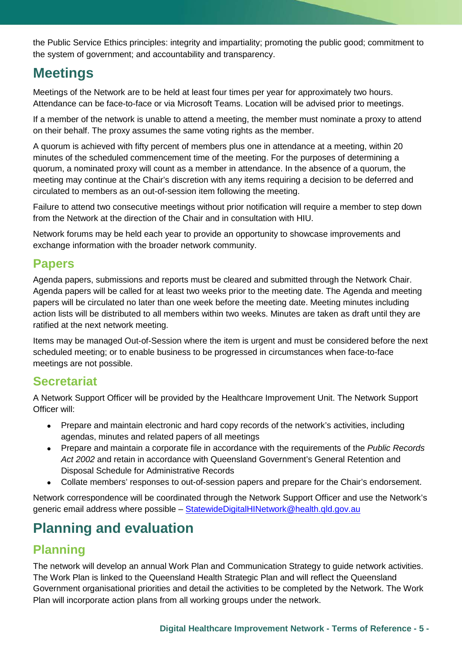the Public Service Ethics principles: integrity and impartiality; promoting the public good; commitment to the system of government; and accountability and transparency.

# **Meetings**

Meetings of the Network are to be held at least four times per year for approximately two hours. Attendance can be face-to-face or via Microsoft Teams. Location will be advised prior to meetings.

If a member of the network is unable to attend a meeting, the member must nominate a proxy to attend on their behalf. The proxy assumes the same voting rights as the member.

A quorum is achieved with fifty percent of members plus one in attendance at a meeting, within 20 minutes of the scheduled commencement time of the meeting. For the purposes of determining a quorum, a nominated proxy will count as a member in attendance. In the absence of a quorum, the meeting may continue at the Chair's discretion with any items requiring a decision to be deferred and circulated to members as an out-of-session item following the meeting.

Failure to attend two consecutive meetings without prior notification will require a member to step down from the Network at the direction of the Chair and in consultation with HIU.

Network forums may be held each year to provide an opportunity to showcase improvements and exchange information with the broader network community.

### **Papers**

Agenda papers, submissions and reports must be cleared and submitted through the Network Chair. Agenda papers will be called for at least two weeks prior to the meeting date. The Agenda and meeting papers will be circulated no later than one week before the meeting date. Meeting minutes including action lists will be distributed to all members within two weeks. Minutes are taken as draft until they are ratified at the next network meeting.

Items may be managed Out-of-Session where the item is urgent and must be considered before the next scheduled meeting; or to enable business to be progressed in circumstances when face-to-face meetings are not possible.

# **Secretariat**

A Network Support Officer will be provided by the Healthcare Improvement Unit. The Network Support Officer will:

- Prepare and maintain electronic and hard copy records of the network's activities, including agendas, minutes and related papers of all meetings
- Prepare and maintain a corporate file in accordance with the requirements of the *Public Records Act 2002* and retain in accordance with Queensland Government's General Retention and Disposal Schedule for Administrative Records
- Collate members' responses to out-of-session papers and prepare for the Chair's endorsement.

Network correspondence will be coordinated through the Network Support Officer and use the Network's generic email address where possible - [StatewideDigitalHINetwork@health.qld.gov.au](mailto:StatewideDigitalHINetwork@health.qld.gov.au)

# **Planning and evaluation**

# **Planning**

The network will develop an annual Work Plan and Communication Strategy to guide network activities. The Work Plan is linked to the Queensland Health Strategic Plan and will reflect the Queensland Government organisational priorities and detail the activities to be completed by the Network. The Work Plan will incorporate action plans from all working groups under the network.